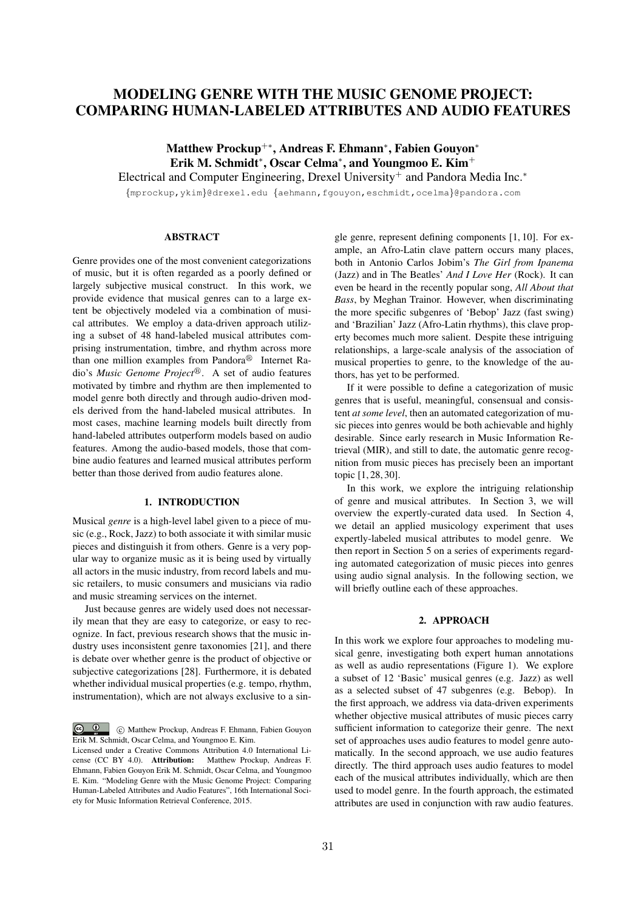# MODELING GENRE WITH THE MUSIC GENOME PROJECT: COMPARING HUMAN-LABELED ATTRIBUTES AND AUDIO FEATURES

Matthew Prockup<sup>+\*</sup>, Andreas F. Ehmann<sup>\*</sup>, Fabien Gouvon<sup>\*</sup> Erik M. Schmidt<sup>\*</sup>, Oscar Celma<sup>\*</sup>, and Youngmoo E. Kim<sup>+</sup>

Electrical and Computer Engineering, Drexel University<sup>+</sup> and Pandora Media Inc.<sup>\*</sup>

*{*mprockup,ykim*}*@drexel.edu *{*aehmann,fgouyon,eschmidt,ocelma*}*@pandora.com

### ABSTRACT

Genre provides one of the most convenient categorizations of music, but it is often regarded as a poorly defined or largely subjective musical construct. In this work, we provide evidence that musical genres can to a large extent be objectively modeled via a combination of musical attributes. We employ a data-driven approach utilizing a subset of 48 hand-labeled musical attributes comprising instrumentation, timbre, and rhythm across more than one million examples from Pandora $\mathscr{B}$  Internet Radio's *Music Genome Project*<sup>®</sup>. A set of audio features motivated by timbre and rhythm are then implemented to model genre both directly and through audio-driven models derived from the hand-labeled musical attributes. In most cases, machine learning models built directly from hand-labeled attributes outperform models based on audio features. Among the audio-based models, those that combine audio features and learned musical attributes perform better than those derived from audio features alone.

## 1. INTRODUCTION

Musical *genre* is a high-level label given to a piece of music (e.g., Rock, Jazz) to both associate it with similar music pieces and distinguish it from others. Genre is a very popular way to organize music as it is being used by virtually all actors in the music industry, from record labels and music retailers, to music consumers and musicians via radio and music streaming services on the internet.

Just because genres are widely used does not necessarily mean that they are easy to categorize, or easy to recognize. In fact, previous research shows that the music industry uses inconsistent genre taxonomies [21], and there is debate over whether genre is the product of objective or subjective categorizations [28]. Furthermore, it is debated whether individual musical properties (e.g. tempo, rhythm, instrumentation), which are not always exclusive to a single genre, represent defining components [1, 10]. For example, an Afro-Latin clave pattern occurs many places, both in Antonio Carlos Jobim's *The Girl from Ipanema* (Jazz) and in The Beatles' *And I Love Her* (Rock). It can even be heard in the recently popular song, *All About that Bass*, by Meghan Trainor. However, when discriminating the more specific subgenres of 'Bebop' Jazz (fast swing) and 'Brazilian' Jazz (Afro-Latin rhythms), this clave property becomes much more salient. Despite these intriguing relationships, a large-scale analysis of the association of musical properties to genre, to the knowledge of the authors, has yet to be performed.

If it were possible to define a categorization of music genres that is useful, meaningful, consensual and consistent *at some level*, then an automated categorization of music pieces into genres would be both achievable and highly desirable. Since early research in Music Information Retrieval (MIR), and still to date, the automatic genre recognition from music pieces has precisely been an important topic [1, 28, 30].

In this work, we explore the intriguing relationship of genre and musical attributes. In Section 3, we will overview the expertly-curated data used. In Section 4, we detail an applied musicology experiment that uses expertly-labeled musical attributes to model genre. We then report in Section 5 on a series of experiments regarding automated categorization of music pieces into genres using audio signal analysis. In the following section, we will briefly outline each of these approaches.

## 2. APPROACH

In this work we explore four approaches to modeling musical genre, investigating both expert human annotations as well as audio representations (Figure 1). We explore a subset of 12 'Basic' musical genres (e.g. Jazz) as well as a selected subset of 47 subgenres (e.g. Bebop). In the first approach, we address via data-driven experiments whether objective musical attributes of music pieces carry sufficient information to categorize their genre. The next set of approaches uses audio features to model genre automatically. In the second approach, we use audio features directly. The third approach uses audio features to model each of the musical attributes individually, which are then used to model genre. In the fourth approach, the estimated attributes are used in conjunction with raw audio features.

 $\circ$   $\circ$ c Matthew Prockup, Andreas F. Ehmann, Fabien Gouyon Erik M. Schmidt, Oscar Celma, and Youngmoo E. Kim.

Licensed under a Creative Commons Attribution 4.0 International License (CC BY 4.0). Attribution: Matthew Prockup, Andreas F. Ehmann, Fabien Gouyon Erik M. Schmidt, Oscar Celma, and Youngmoo E. Kim. "Modeling Genre with the Music Genome Project: Comparing Human-Labeled Attributes and Audio Features", 16th International Society for Music Information Retrieval Conference, 2015.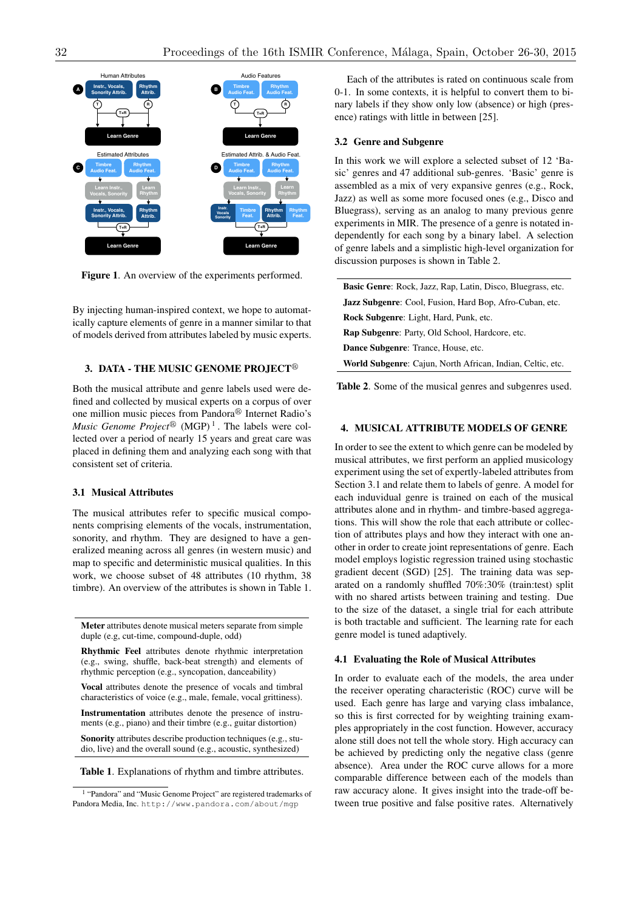

Figure 1. An overview of the experiments performed.

By injecting human-inspired context, we hope to automatically capture elements of genre in a manner similar to that of models derived from attributes labeled by music experts.

#### 3. DATA - THE MUSIC GENOME PROJECT<sup>®</sup>

Both the musical attribute and genre labels used were defined and collected by musical experts on a corpus of over one million music pieces from Pandora® Internet Radio's *Music Genome Project*<sup>®</sup> (MGP)<sup>1</sup>. The labels were collected over a period of nearly 15 years and great care was placed in defining them and analyzing each song with that consistent set of criteria.

## 3.1 Musical Attributes

The musical attributes refer to specific musical components comprising elements of the vocals, instrumentation, sonority, and rhythm. They are designed to have a generalized meaning across all genres (in western music) and map to specific and deterministic musical qualities. In this work, we choose subset of 48 attributes (10 rhythm, 38 timbre). An overview of the attributes is shown in Table 1.

Meter attributes denote musical meters separate from simple duple (e.g, cut-time, compound-duple, odd)

Rhythmic Feel attributes denote rhythmic interpretation (e.g., swing, shuffle, back-beat strength) and elements of rhythmic perception (e.g., syncopation, danceability)

Vocal attributes denote the presence of vocals and timbral characteristics of voice (e.g., male, female, vocal grittiness).

Instrumentation attributes denote the presence of instruments (e.g., piano) and their timbre (e.g., guitar distortion)

Sonority attributes describe production techniques (e.g., studio, live) and the overall sound (e.g., acoustic, synthesized)

Table 1. Explanations of rhythm and timbre attributes.

Each of the attributes is rated on continuous scale from 0-1. In some contexts, it is helpful to convert them to binary labels if they show only low (absence) or high (presence) ratings with little in between [25].

#### 3.2 Genre and Subgenre

In this work we will explore a selected subset of 12 'Basic' genres and 47 additional sub-genres. 'Basic' genre is assembled as a mix of very expansive genres (e.g., Rock, Jazz) as well as some more focused ones (e.g., Disco and Bluegrass), serving as an analog to many previous genre experiments in MIR. The presence of a genre is notated independently for each song by a binary label. A selection of genre labels and a simplistic high-level organization for discussion purposes is shown in Table 2.

Basic Genre: Rock, Jazz, Rap, Latin, Disco, Bluegrass, etc. Jazz Subgenre: Cool, Fusion, Hard Bop, Afro-Cuban, etc. Rock Subgenre: Light, Hard, Punk, etc. Rap Subgenre: Party, Old School, Hardcore, etc. Dance Subgenre: Trance, House, etc. World Subgenre: Cajun, North African, Indian, Celtic, etc.

Table 2. Some of the musical genres and subgenres used.

## 4. MUSICAL ATTRIBUTE MODELS OF GENRE

In order to see the extent to which genre can be modeled by musical attributes, we first perform an applied musicology experiment using the set of expertly-labeled attributes from Section 3.1 and relate them to labels of genre. A model for each induvidual genre is trained on each of the musical attributes alone and in rhythm- and timbre-based aggregations. This will show the role that each attribute or collection of attributes plays and how they interact with one another in order to create joint representations of genre. Each model employs logistic regression trained using stochastic gradient decent (SGD) [25]. The training data was separated on a randomly shuffled 70%:30% (train:test) split with no shared artists between training and testing. Due to the size of the dataset, a single trial for each attribute is both tractable and sufficient. The learning rate for each genre model is tuned adaptively.

#### 4.1 Evaluating the Role of Musical Attributes

In order to evaluate each of the models, the area under the receiver operating characteristic (ROC) curve will be used. Each genre has large and varying class imbalance, so this is first corrected for by weighting training examples appropriately in the cost function. However, accuracy alone still does not tell the whole story. High accuracy can be achieved by predicting only the negative class (genre absence). Area under the ROC curve allows for a more comparable difference between each of the models than raw accuracy alone. It gives insight into the trade-off between true positive and false positive rates. Alternatively

<sup>1</sup> "Pandora" and "Music Genome Project" are registered trademarks of Pandora Media, Inc. http://www.pandora.com/about/mgp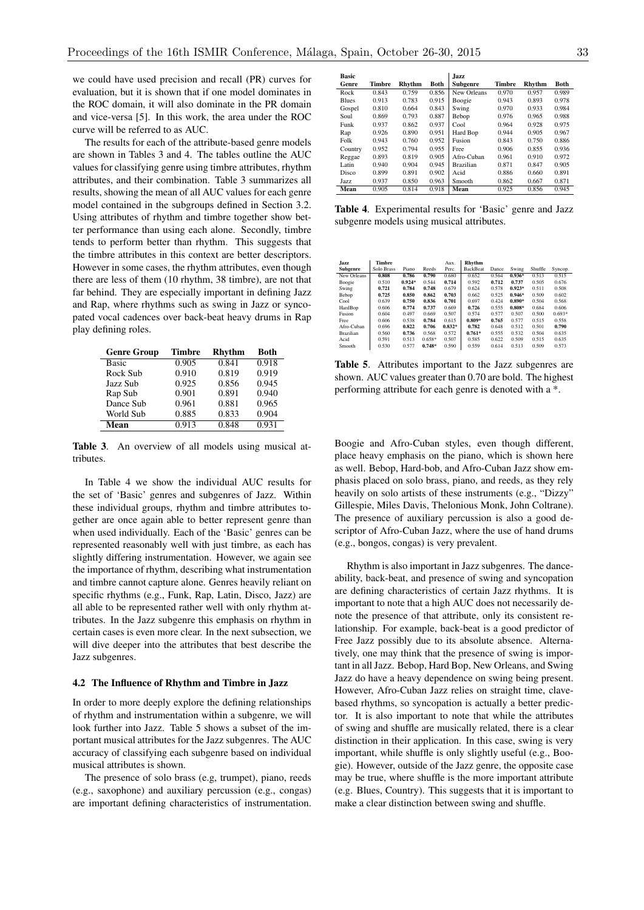we could have used precision and recall (PR) curves for evaluation, but it is shown that if one model dominates in the ROC domain, it will also dominate in the PR domain and vice-versa [5]. In this work, the area under the ROC curve will be referred to as AUC.

The results for each of the attribute-based genre models are shown in Tables 3 and 4. The tables outline the AUC values for classifying genre using timbre attributes, rhythm attributes, and their combination. Table 3 summarizes all results, showing the mean of all AUC values for each genre model contained in the subgroups defined in Section 3.2. Using attributes of rhythm and timbre together show better performance than using each alone. Secondly, timbre tends to perform better than rhythm. This suggests that the timbre attributes in this context are better descriptors. However in some cases, the rhythm attributes, even though there are less of them (10 rhythm, 38 timbre), are not that far behind. They are especially important in defining Jazz and Rap, where rhythms such as swing in Jazz or syncopated vocal cadences over back-beat heavy drums in Rap play defining roles.

| <b>Genre Group</b> | Timbre | <b>Rhythm</b> | Both  |
|--------------------|--------|---------------|-------|
| <b>Basic</b>       | 0.905  | 0.841         | 0.918 |
| Rock Sub           | 0.910  | 0.819         | 0.919 |
| Jazz Sub           | 0.925  | 0.856         | 0.945 |
| Rap Sub            | 0.901  | 0.891         | 0.940 |
| Dance Sub          | 0.961  | 0.881         | 0.965 |
| World Sub          | 0.885  | 0.833         | 0.904 |
| Mean               | 0.913  | 0.848         | 0.931 |

Table 3. An overview of all models using musical attributes.

In Table 4 we show the individual AUC results for the set of 'Basic' genres and subgenres of Jazz. Within these individual groups, rhythm and timbre attributes together are once again able to better represent genre than when used individually. Each of the 'Basic' genres can be represented reasonably well with just timbre, as each has slightly differing instrumentation. However, we again see the importance of rhythm, describing what instrumentation and timbre cannot capture alone. Genres heavily reliant on specific rhythms (e.g., Funk, Rap, Latin, Disco, Jazz) are all able to be represented rather well with only rhythm attributes. In the Jazz subgenre this emphasis on rhythm in certain cases is even more clear. In the next subsection, we will dive deeper into the attributes that best describe the Jazz subgenres.

### 4.2 The Influence of Rhythm and Timbre in Jazz

In order to more deeply explore the defining relationships of rhythm and instrumentation within a subgenre, we will look further into Jazz. Table 5 shows a subset of the important musical attributes for the Jazz subgenres. The AUC accuracy of classifying each subgenre based on individual musical attributes is shown.

The presence of solo brass (e.g, trumpet), piano, reeds (e.g., saxophone) and auxiliary percussion (e.g., congas) are important defining characteristics of instrumentation.

| Basic        |        |        |       | Jazz             |        |        |             |
|--------------|--------|--------|-------|------------------|--------|--------|-------------|
| Genre        | Timbre | Rhvthm | Both  | Subgenre         | Timbre | Rhythm | <b>Both</b> |
| Rock         | 0.843  | 0.759  | 0.856 | New Orleans      | 0.970  | 0.957  | 0.989       |
| <b>Blues</b> | 0.913  | 0.783  | 0.915 | Boogie           | 0.943  | 0.893  | 0.978       |
| Gospel       | 0.810  | 0.664  | 0.843 | Swing            | 0.970  | 0.933  | 0.984       |
| Soul         | 0.869  | 0.793  | 0.887 | Bebop            | 0.976  | 0.965  | 0.988       |
| Funk         | 0.937  | 0.862  | 0.937 | Cool             | 0.964  | 0.928  | 0.975       |
| Rap          | 0.926  | 0.890  | 0.951 | Hard Bop         | 0.944  | 0.905  | 0.967       |
| Folk         | 0.943  | 0.760  | 0.952 | Fusion           | 0.843  | 0.750  | 0.886       |
| Country      | 0.952  | 0.794  | 0.955 | Free             | 0.906  | 0.855  | 0.936       |
| Reggae       | 0.893  | 0.819  | 0.905 | Afro-Cuban       | 0.961  | 0.910  | 0.972       |
| Latin        | 0.940  | 0.904  | 0.945 | <b>Brazilian</b> | 0.871  | 0.847  | 0.905       |
| Disco        | 0.899  | 0.891  | 0.902 | Acid             | 0.886  | 0.660  | 0.891       |
| Jazz         | 0.937  | 0.850  | 0.963 | Smooth           | 0.862  | 0.667  | 0.871       |
| Mean         | 0.905  | 0.814  | 0.918 | Mean             | 0.925  | 0.856  | 0.945       |

Table 4. Experimental results for 'Basic' genre and Jazz subgenre models using musical attributes.

| Jazz             | Timbre     |          |          | Aux.     | Rhythm          |       |          |         |          |
|------------------|------------|----------|----------|----------|-----------------|-------|----------|---------|----------|
| Subgenre         | Solo Brass | Piano    | Reeds    | Perc.    | <b>BackBeat</b> | Dance | Swing    | Shuffle | Syncop.  |
| New Orleans      | 0.808      | 0.786    | 0.790    | 0.680    | 0.652           | 0.564 | $0.936*$ | 0.513   | 0.515    |
| Boogie           | 0.510      | $0.924*$ | 0.544    | 0.714    | 0.592           | 0.712 | 0.737    | 0.505   | 0.676    |
| Swing            | 0.721      | 0.784    | 0.748    | 0.679    | 0.624           | 0.578 | $0.923*$ | 0.511   | 0.508    |
| Bebop            | 0.725      | 0.850    | 0.862    | 0.703    | 0.662           | 0.525 | $0.946*$ | 0.509   | 0.602    |
| Cool             | 0.639      | 0.750    | 0.836    | 0.701    | 0.697           | 0.424 | $0.890*$ | 0.504   | 0.568    |
| HardBop          | 0.606      | 0.774    | 0.737    | 0.669    | 0.726           | 0.555 | $0.808*$ | 0.684   | 0.606    |
| Fusion           | 0.604      | 0.497    | 0.669    | 0.507    | 0.574           | 0.577 | 0.507    | 0.500   | $0.693*$ |
| Free             | 0.606      | 0.538    | 0.784    | 0.615    | $0.809*$        | 0.765 | 0.577    | 0.515   | 0.558    |
| Afro-Cuban       | 0.696      | 0.822    | 0.706    | $0.832*$ | 0.782           | 0.648 | 0.512    | 0.501   | 0.790    |
| <b>Brazilian</b> | 0.560      | 0.736    | 0.568    | 0.572    | $0.761*$        | 0.555 | 0.532    | 0.504   | 0.635    |
| Acid             | 0.591      | 0.513    | $0.658*$ | 0.507    | 0.585           | 0.622 | 0.509    | 0.515   | 0.635    |
| Smooth           | 0.530      | 0.577    | $0.748*$ | 0.590    | 0.559           | 0.614 | 0.513    | 0.509   | 0.573    |

Table 5. Attributes important to the Jazz subgenres are shown. AUC values greater than 0.70 are bold. The highest performing attribute for each genre is denoted with a \*.

Boogie and Afro-Cuban styles, even though different, place heavy emphasis on the piano, which is shown here as well. Bebop, Hard-bob, and Afro-Cuban Jazz show emphasis placed on solo brass, piano, and reeds, as they rely heavily on solo artists of these instruments (e.g., "Dizzy" Gillespie, Miles Davis, Thelonious Monk, John Coltrane). The presence of auxiliary percussion is also a good descriptor of Afro-Cuban Jazz, where the use of hand drums (e.g., bongos, congas) is very prevalent.

Rhythm is also important in Jazz subgenres. The danceability, back-beat, and presence of swing and syncopation are defining characteristics of certain Jazz rhythms. It is important to note that a high AUC does not necessarily denote the presence of that attribute, only its consistent relationship. For example, back-beat is a good predictor of Free Jazz possibly due to its absolute absence. Alternatively, one may think that the presence of swing is important in all Jazz. Bebop, Hard Bop, New Orleans, and Swing Jazz do have a heavy dependence on swing being present. However, Afro-Cuban Jazz relies on straight time, clavebased rhythms, so syncopation is actually a better predictor. It is also important to note that while the attributes of swing and shuffle are musically related, there is a clear distinction in their application. In this case, swing is very important, while shuffle is only slightly useful (e.g., Boogie). However, outside of the Jazz genre, the opposite case may be true, where shuffle is the more important attribute (e.g. Blues, Country). This suggests that it is important to make a clear distinction between swing and shuffle.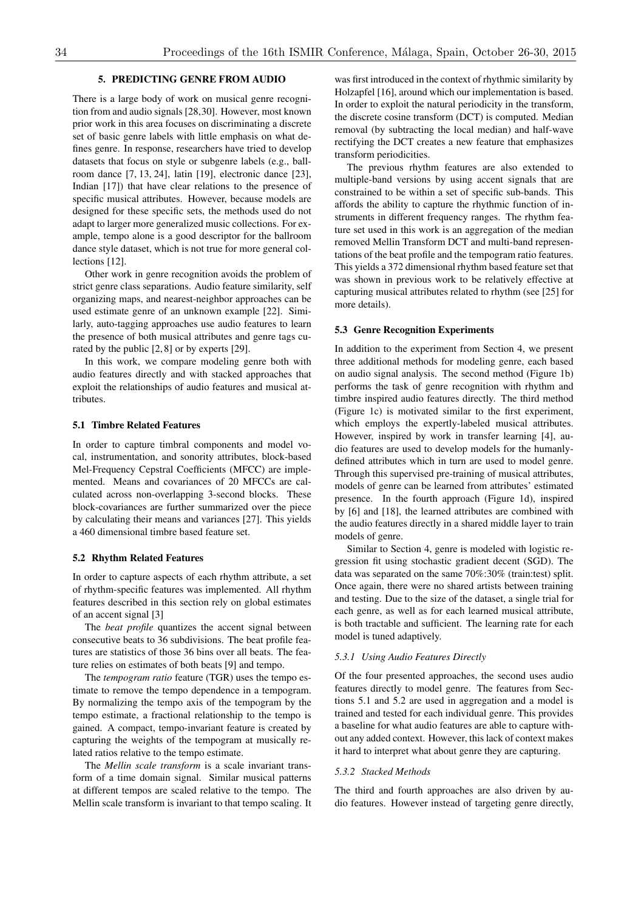## 5. PREDICTING GENRE FROM AUDIO

There is a large body of work on musical genre recognition from and audio signals [28,30]. However, most known prior work in this area focuses on discriminating a discrete set of basic genre labels with little emphasis on what defines genre. In response, researchers have tried to develop datasets that focus on style or subgenre labels (e.g., ballroom dance [7, 13, 24], latin [19], electronic dance [23], Indian [17]) that have clear relations to the presence of specific musical attributes. However, because models are designed for these specific sets, the methods used do not adapt to larger more generalized music collections. For example, tempo alone is a good descriptor for the ballroom dance style dataset, which is not true for more general collections [12].

Other work in genre recognition avoids the problem of strict genre class separations. Audio feature similarity, self organizing maps, and nearest-neighbor approaches can be used estimate genre of an unknown example [22]. Similarly, auto-tagging approaches use audio features to learn the presence of both musical attributes and genre tags curated by the public [2, 8] or by experts [29].

In this work, we compare modeling genre both with audio features directly and with stacked approaches that exploit the relationships of audio features and musical attributes.

#### 5.1 Timbre Related Features

In order to capture timbral components and model vocal, instrumentation, and sonority attributes, block-based Mel-Frequency Cepstral Coefficients (MFCC) are implemented. Means and covariances of 20 MFCCs are calculated across non-overlapping 3-second blocks. These block-covariances are further summarized over the piece by calculating their means and variances [27]. This yields a 460 dimensional timbre based feature set.

#### 5.2 Rhythm Related Features

In order to capture aspects of each rhythm attribute, a set of rhythm-specific features was implemented. All rhythm features described in this section rely on global estimates of an accent signal [3]

The *beat profile* quantizes the accent signal between consecutive beats to 36 subdivisions. The beat profile features are statistics of those 36 bins over all beats. The feature relies on estimates of both beats [9] and tempo.

The *tempogram ratio* feature (TGR) uses the tempo estimate to remove the tempo dependence in a tempogram. By normalizing the tempo axis of the tempogram by the tempo estimate, a fractional relationship to the tempo is gained. A compact, tempo-invariant feature is created by capturing the weights of the tempogram at musically related ratios relative to the tempo estimate.

The *Mellin scale transform* is a scale invariant transform of a time domain signal. Similar musical patterns at different tempos are scaled relative to the tempo. The Mellin scale transform is invariant to that tempo scaling. It

was first introduced in the context of rhythmic similarity by Holzapfel [16], around which our implementation is based. In order to exploit the natural periodicity in the transform, the discrete cosine transform (DCT) is computed. Median removal (by subtracting the local median) and half-wave rectifying the DCT creates a new feature that emphasizes transform periodicities.

The previous rhythm features are also extended to multiple-band versions by using accent signals that are constrained to be within a set of specific sub-bands. This affords the ability to capture the rhythmic function of instruments in different frequency ranges. The rhythm feature set used in this work is an aggregation of the median removed Mellin Transform DCT and multi-band representations of the beat profile and the tempogram ratio features. This yields a 372 dimensional rhythm based feature set that was shown in previous work to be relatively effective at capturing musical attributes related to rhythm (see [25] for more details).

#### 5.3 Genre Recognition Experiments

In addition to the experiment from Section 4, we present three additional methods for modeling genre, each based on audio signal analysis. The second method (Figure 1b) performs the task of genre recognition with rhythm and timbre inspired audio features directly. The third method (Figure 1c) is motivated similar to the first experiment, which employs the expertly-labeled musical attributes. However, inspired by work in transfer learning [4], audio features are used to develop models for the humanlydefined attributes which in turn are used to model genre. Through this supervised pre-training of musical attributes, models of genre can be learned from attributes' estimated presence. In the fourth approach (Figure 1d), inspired by [6] and [18], the learned attributes are combined with the audio features directly in a shared middle layer to train models of genre.

Similar to Section 4, genre is modeled with logistic regression fit using stochastic gradient decent (SGD). The data was separated on the same 70%:30% (train:test) split. Once again, there were no shared artists between training and testing. Due to the size of the dataset, a single trial for each genre, as well as for each learned musical attribute, is both tractable and sufficient. The learning rate for each model is tuned adaptively.

#### *5.3.1 Using Audio Features Directly*

Of the four presented approaches, the second uses audio features directly to model genre. The features from Sections 5.1 and 5.2 are used in aggregation and a model is trained and tested for each individual genre. This provides a baseline for what audio features are able to capture without any added context. However, this lack of context makes it hard to interpret what about genre they are capturing.

## *5.3.2 Stacked Methods*

The third and fourth approaches are also driven by audio features. However instead of targeting genre directly,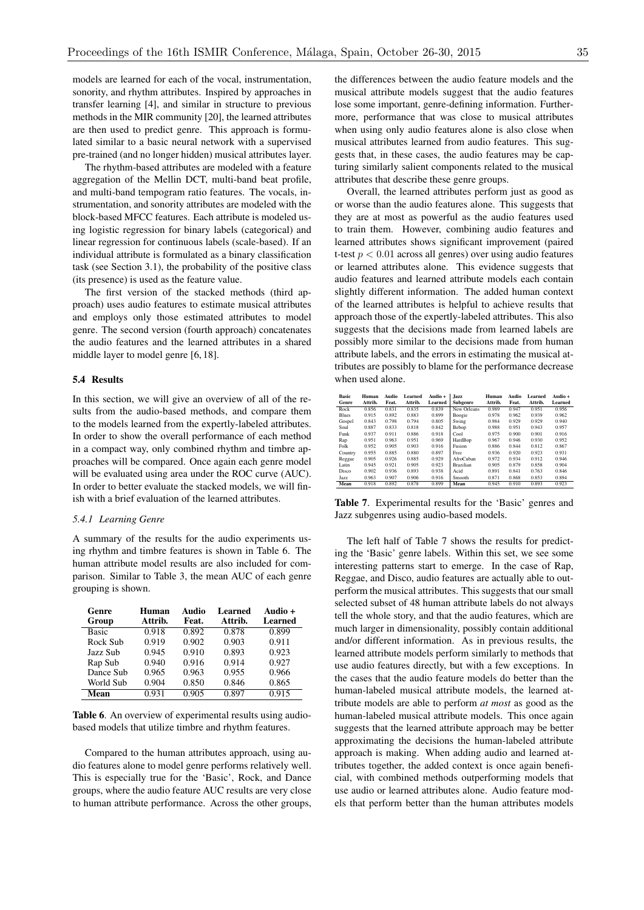models are learned for each of the vocal, instrumentation, sonority, and rhythm attributes. Inspired by approaches in transfer learning [4], and similar in structure to previous methods in the MIR community [20], the learned attributes are then used to predict genre. This approach is formulated similar to a basic neural network with a supervised pre-trained (and no longer hidden) musical attributes layer.

The rhythm-based attributes are modeled with a feature aggregation of the Mellin DCT, multi-band beat profile, and multi-band tempogram ratio features. The vocals, instrumentation, and sonority attributes are modeled with the block-based MFCC features. Each attribute is modeled using logistic regression for binary labels (categorical) and linear regression for continuous labels (scale-based). If an individual attribute is formulated as a binary classification task (see Section 3.1), the probability of the positive class (its presence) is used as the feature value.

The first version of the stacked methods (third approach) uses audio features to estimate musical attributes and employs only those estimated attributes to model genre. The second version (fourth approach) concatenates the audio features and the learned attributes in a shared middle layer to model genre [6, 18].

#### 5.4 Results

In this section, we will give an overview of all of the results from the audio-based methods, and compare them to the models learned from the expertly-labeled attributes. In order to show the overall performance of each method in a compact way, only combined rhythm and timbre approaches will be compared. Once again each genre model will be evaluated using area under the ROC curve (AUC). In order to better evaluate the stacked models, we will finish with a brief evaluation of the learned attributes.

#### *5.4.1 Learning Genre*

A summary of the results for the audio experiments using rhythm and timbre features is shown in Table 6. The human attribute model results are also included for comparison. Similar to Table 3, the mean AUC of each genre grouping is shown.

| Genre        | Human   | Audio | Learned | Audio + |
|--------------|---------|-------|---------|---------|
| Group        | Attrib. | Feat. | Attrib. | Learned |
| <b>Basic</b> | 0.918   | 0.892 | 0.878   | 0.899   |
| Rock Sub     | 0.919   | 0.902 | 0.903   | 0.911   |
| Jazz Sub     | 0.945   | 0.910 | 0.893   | 0.923   |
| Rap Sub      | 0.940   | 0.916 | 0.914   | 0.927   |
| Dance Sub    | 0.965   | 0.963 | 0.955   | 0.966   |
| World Sub    | 0.904   | 0.850 | 0.846   | 0.865   |
| Mean         | 0.931   | 0.905 | 0.897   | 0.915   |

Table 6. An overview of experimental results using audiobased models that utilize timbre and rhythm features.

Compared to the human attributes approach, using audio features alone to model genre performs relatively well. This is especially true for the 'Basic', Rock, and Dance groups, where the audio feature AUC results are very close to human attribute performance. Across the other groups,

the differences between the audio feature models and the musical attribute models suggest that the audio features lose some important, genre-defining information. Furthermore, performance that was close to musical attributes when using only audio features alone is also close when musical attributes learned from audio features. This suggests that, in these cases, the audio features may be capturing similarly salient components related to the musical attributes that describe these genre groups.

Overall, the learned attributes perform just as good as or worse than the audio features alone. This suggests that they are at most as powerful as the audio features used to train them. However, combining audio features and learned attributes shows significant improvement (paired t-test *p <* 0*.*01 across all genres) over using audio features or learned attributes alone. This evidence suggests that audio features and learned attribute models each contain slightly different information. The added human context of the learned attributes is helpful to achieve results that approach those of the expertly-labeled attributes. This also suggests that the decisions made from learned labels are possibly more similar to the decisions made from human attribute labels, and the errors in estimating the musical attributes are possibly to blame for the performance decrease when used alone.

| <b>Basic</b><br>Genre | Human<br>Attrib. | Audio<br>Feat. | Learned<br>Attrib. | Audio +<br>Learned | Jazz<br>Subgenre | Human<br>Attrib. | Audio<br>Feat. | Learned<br>Attrib. | Audio +<br>Learned |
|-----------------------|------------------|----------------|--------------------|--------------------|------------------|------------------|----------------|--------------------|--------------------|
| Rock                  | 0.856            | 0.831          | 0.835              | 0.839              | New Orleans      | 0.989            | 0.947          | 0.951              | 0.956              |
| <b>Blues</b>          | 0.915            | 0.892          | 0.883              | 0.899              | Boogie           | 0.978            | 0.962          | 0.939              | 0.962              |
| Gospel                | 0.843            | 0.798          | 0.794              | 0.805              | Swing            | 0.984            | 0.929          | 0.929              | 0.940              |
| Soul                  | 0.887            | 0.833          | 0.818              | 0.842              | Bebop            | 0.988            | 0.951          | 0.943              | 0.957              |
| Funk                  | 0.937            | 0.911          | 0.886              | 0.918              | Cool             | 0.975            | 0.900          | 0.901              | 0.916              |
| Rap                   | 0.951            | 0.963          | 0.951              | 0.969              | HardBop          | 0.967            | 0.946          | 0.930              | 0.952              |
| Folk                  | 0.952            | 0.905          | 0.903              | 0.916              | Fusion           | 0.886            | 0.844          | 0.812              | 0.867              |
| Country               | 0.955            | 0.885          | 0.880              | 0.897              | Free             | 0.936            | 0.920          | 0.923              | 0.931              |
| Reggae                | 0.905            | 0.926          | 0.885              | 0.929              | AfroCuban        | 0.972            | 0.934          | 0.912              | 0.946              |
| Latin                 | 0.945            | 0.921          | 0.905              | 0.923              | <b>Brazilian</b> | 0.905            | 0.879          | 0.858              | 0.904              |
| Disco                 | 0.902            | 0.936          | 0.893              | 0.938              | Acid             | 0.891            | 0.841          | 0.763              | 0.846              |
| Jazz                  | 0.963            | 0.907          | 0.906              | 0.916              | Smooth           | 0.871            | 0.868          | 0.853              | 0.894              |
| Mean                  | 0.918            | 0.892          | 0.878              | 0.899              | Mean             | 0.945            | 0.910          | 0.893              | 0.923              |

Table 7. Experimental results for the 'Basic' genres and Jazz subgenres using audio-based models.

The left half of Table 7 shows the results for predicting the 'Basic' genre labels. Within this set, we see some interesting patterns start to emerge. In the case of Rap, Reggae, and Disco, audio features are actually able to outperform the musical attributes. This suggests that our small selected subset of 48 human attribute labels do not always tell the whole story, and that the audio features, which are much larger in dimensionality, possibly contain additional and/or different information. As in previous results, the learned attribute models perform similarly to methods that use audio features directly, but with a few exceptions. In the cases that the audio feature models do better than the human-labeled musical attribute models, the learned attribute models are able to perform *at most* as good as the human-labeled musical attribute models. This once again suggests that the learned attribute approach may be better approximating the decisions the human-labeled attribute approach is making. When adding audio and learned attributes together, the added context is once again beneficial, with combined methods outperforming models that use audio or learned attributes alone. Audio feature models that perform better than the human attributes models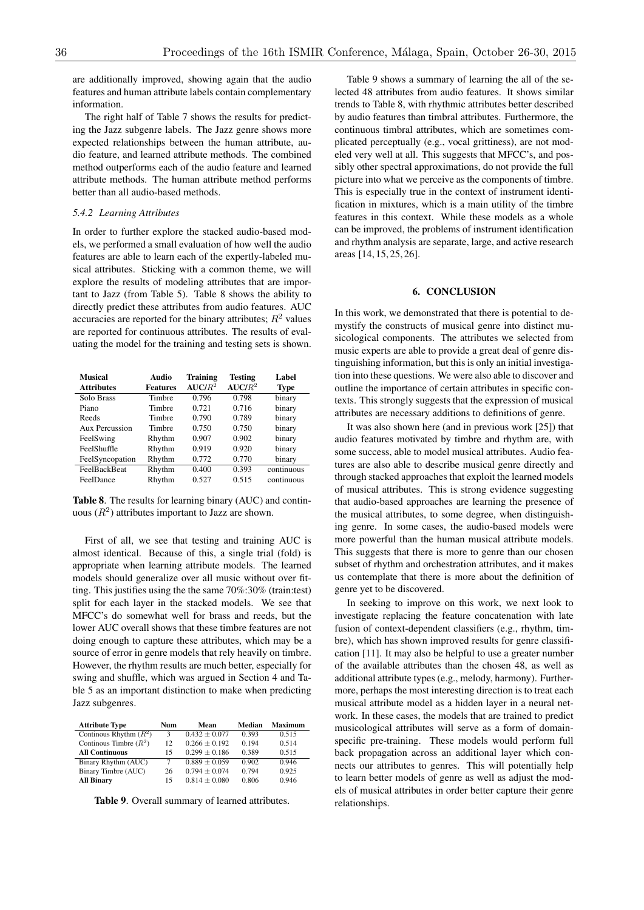are additionally improved, showing again that the audio features and human attribute labels contain complementary information.

The right half of Table 7 shows the results for predicting the Jazz subgenre labels. The Jazz genre shows more expected relationships between the human attribute, audio feature, and learned attribute methods. The combined method outperforms each of the audio feature and learned attribute methods. The human attribute method performs better than all audio-based methods.

### *5.4.2 Learning Attributes*

In order to further explore the stacked audio-based models, we performed a small evaluation of how well the audio features are able to learn each of the expertly-labeled musical attributes. Sticking with a common theme, we will explore the results of modeling attributes that are important to Jazz (from Table 5). Table 8 shows the ability to directly predict these attributes from audio features. AUC accuracies are reported for the binary attributes;  $R^2$  values are reported for continuous attributes. The results of evaluating the model for the training and testing sets is shown.

| <b>Musical</b><br><b>Attributes</b> | Audio<br><b>Features</b> | Training<br>$AUC/R^2$ | <b>Testing</b><br>$AUC/R^2$ | Label<br>Type |
|-------------------------------------|--------------------------|-----------------------|-----------------------------|---------------|
| <b>Solo Brass</b>                   | Timbre                   | 0.796                 | 0.798                       | binary        |
| Piano                               | Timbre                   | 0.721                 | 0.716                       | binary        |
| Reeds                               | Timbre                   | 0.790                 | 0.789                       | binary        |
| Aux Percussion                      | Timbre                   | 0.750                 | 0.750                       | binary        |
| FeelSwing                           | Rhythm                   | 0.907                 | 0.902                       | binary        |
| FeelShuffle                         | Rhythm                   | 0.919                 | 0.920                       | binary        |
| FeelSyncopation                     | Rhythm                   | 0.772                 | 0.770                       | binary        |
| <b>FeelBackBeat</b>                 | Rhythm                   | 0.400                 | 0.393                       | continuous    |
| FeelDance                           | Rhythm                   | 0.527                 | 0.515                       | continuous    |

Table 8. The results for learning binary (AUC) and continuous  $(R^2)$  attributes important to Jazz are shown.

First of all, we see that testing and training AUC is almost identical. Because of this, a single trial (fold) is appropriate when learning attribute models. The learned models should generalize over all music without over fitting. This justifies using the the same 70%:30% (train:test) split for each layer in the stacked models. We see that MFCC's do somewhat well for brass and reeds, but the lower AUC overall shows that these timbre features are not doing enough to capture these attributes, which may be a source of error in genre models that rely heavily on timbre. However, the rhythm results are much better, especially for swing and shuffle, which was argued in Section 4 and Table 5 as an important distinction to make when predicting Jazz subgenres.

| <b>Attribute Type</b>    | Num | Mean              | Median | <b>Maximum</b> |
|--------------------------|-----|-------------------|--------|----------------|
| Continous Rhythm $(R^2)$ | 3   | $0.432 + 0.077$   | 0.393  | 0.515          |
| Continous Timbre $(R^2)$ | 12  | $0.266 + 0.192$   | 0.194  | 0.514          |
| <b>All Continuous</b>    | 15  | $0.299 \pm 0.186$ | 0.389  | 0.515          |
| Binary Rhythm (AUC)      | 7   | $0.889 + 0.059$   | 0.902  | 0.946          |
| Binary Timbre (AUC)      | 26  | $0.794 + 0.074$   | 0.794  | 0.925          |
| <b>All Binary</b>        | 15  | $0.814 + 0.080$   | 0.806  | 0.946          |

Table 9. Overall summary of learned attributes.

Table 9 shows a summary of learning the all of the selected 48 attributes from audio features. It shows similar trends to Table 8, with rhythmic attributes better described by audio features than timbral attributes. Furthermore, the continuous timbral attributes, which are sometimes complicated perceptually (e.g., vocal grittiness), are not modeled very well at all. This suggests that MFCC's, and possibly other spectral approximations, do not provide the full picture into what we perceive as the components of timbre. This is especially true in the context of instrument identification in mixtures, which is a main utility of the timbre features in this context. While these models as a whole can be improved, the problems of instrument identification and rhythm analysis are separate, large, and active research areas [14, 15, 25, 26].

### 6. CONCLUSION

In this work, we demonstrated that there is potential to demystify the constructs of musical genre into distinct musicological components. The attributes we selected from music experts are able to provide a great deal of genre distinguishing information, but this is only an initial investigation into these questions. We were also able to discover and outline the importance of certain attributes in specific contexts. This strongly suggests that the expression of musical attributes are necessary additions to definitions of genre.

It was also shown here (and in previous work [25]) that audio features motivated by timbre and rhythm are, with some success, able to model musical attributes. Audio features are also able to describe musical genre directly and through stacked approaches that exploit the learned models of musical attributes. This is strong evidence suggesting that audio-based approaches are learning the presence of the musical attributes, to some degree, when distinguishing genre. In some cases, the audio-based models were more powerful than the human musical attribute models. This suggests that there is more to genre than our chosen subset of rhythm and orchestration attributes, and it makes us contemplate that there is more about the definition of genre yet to be discovered.

In seeking to improve on this work, we next look to investigate replacing the feature concatenation with late fusion of context-dependent classifiers (e.g., rhythm, timbre), which has shown improved results for genre classification [11]. It may also be helpful to use a greater number of the available attributes than the chosen 48, as well as additional attribute types (e.g., melody, harmony). Furthermore, perhaps the most interesting direction is to treat each musical attribute model as a hidden layer in a neural network. In these cases, the models that are trained to predict musicological attributes will serve as a form of domainspecific pre-training. These models would perform full back propagation across an additional layer which connects our attributes to genres. This will potentially help to learn better models of genre as well as adjust the models of musical attributes in order better capture their genre relationships.